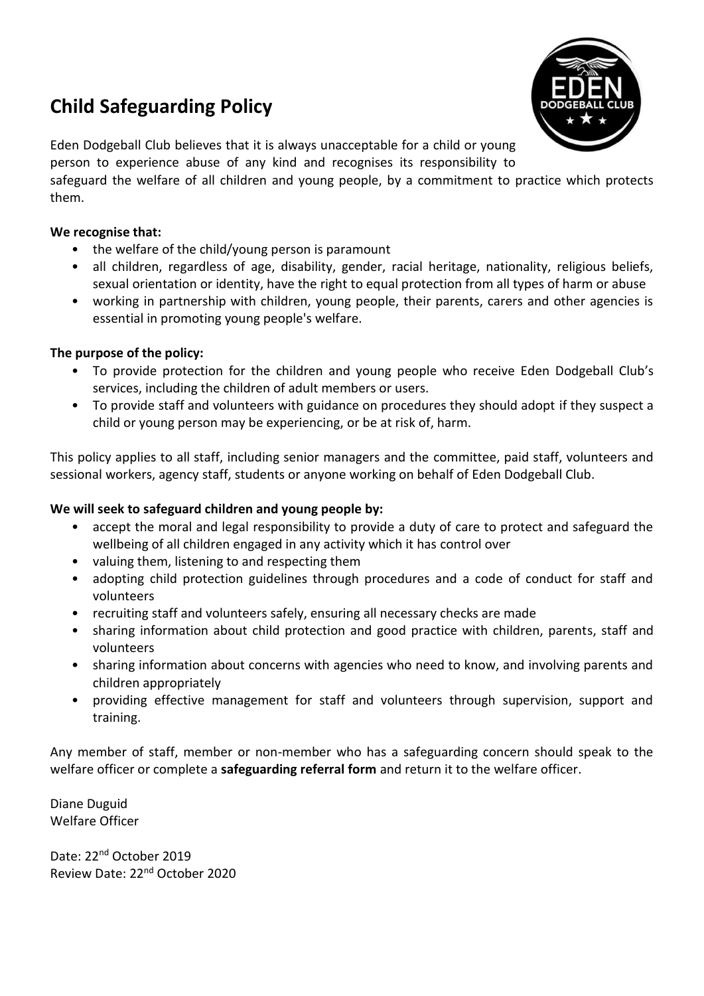# **Child Safeguarding Policy**



Eden Dodgeball Club believes that it is always unacceptable for a child or young person to experience abuse of any kind and recognises its responsibility to

safeguard the welfare of all children and young people, by a commitment to practice which protects them.

#### **We recognise that:**

- the welfare of the child/young person is paramount
- all children, regardless of age, disability, gender, racial heritage, nationality, religious beliefs, sexual orientation or identity, have the right to equal protection from all types of harm or abuse
- working in partnership with children, young people, their parents, carers and other agencies is essential in promoting young people's welfare.

#### **The purpose of the policy:**

- To provide protection for the children and young people who receive Eden Dodgeball Club's services, including the children of adult members or users.
- To provide staff and volunteers with guidance on procedures they should adopt if they suspect a child or young person may be experiencing, or be at risk of, harm.

This policy applies to all staff, including senior managers and the committee, paid staff, volunteers and sessional workers, agency staff, students or anyone working on behalf of Eden Dodgeball Club.

#### **We will seek to safeguard children and young people by:**

- accept the moral and legal responsibility to provide a duty of care to protect and safeguard the wellbeing of all children engaged in any activity which it has control over
- valuing them, listening to and respecting them
- adopting child protection guidelines through procedures and a code of conduct for staff and volunteers
- recruiting staff and volunteers safely, ensuring all necessary checks are made
- sharing information about child protection and good practice with children, parents, staff and volunteers
- sharing information about concerns with agencies who need to know, and involving parents and children appropriately
- providing effective management for staff and volunteers through supervision, support and training.

Any member of staff, member or non-member who has a safeguarding concern should speak to the welfare officer or complete a **safeguarding referral form** and return it to the welfare officer.

Diane Duguid Welfare Officer

Date: 22<sup>nd</sup> October 2019 Review Date: 22nd October 2020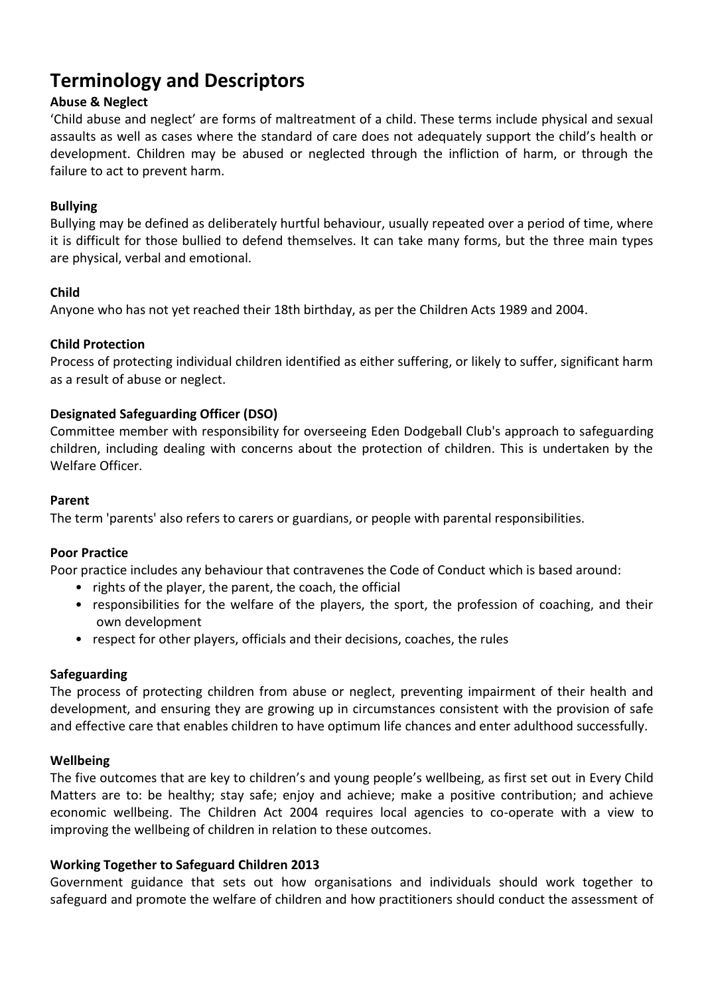## **Terminology and Descriptors**

## **Abuse & Neglect**

'Child abuse and neglect' are forms of maltreatment of a child. These terms include physical and sexual assaults as well as cases where the standard of care does not adequately support the child's health or development. Children may be abused or neglected through the infliction of harm, or through the failure to act to prevent harm.

### **Bullying**

Bullying may be defined as deliberately hurtful behaviour, usually repeated over a period of time, where it is difficult for those bullied to defend themselves. It can take many forms, but the three main types are physical, verbal and emotional.

#### **Child**

Anyone who has not yet reached their 18th birthday, as per the Children Acts 1989 and 2004.

#### **Child Protection**

Process of protecting individual children identified as either suffering, or likely to suffer, significant harm as a result of abuse or neglect.

#### **Designated Safeguarding Officer (DSO)**

Committee member with responsibility for overseeing Eden Dodgeball Club's approach to safeguarding children, including dealing with concerns about the protection of children. This is undertaken by the Welfare Officer.

#### **Parent**

The term 'parents' also refers to carers or guardians, or people with parental responsibilities.

#### **Poor Practice**

Poor practice includes any behaviour that contravenes the Code of Conduct which is based around:

- rights of the player, the parent, the coach, the official
- responsibilities for the welfare of the players, the sport, the profession of coaching, and their own development
- respect for other players, officials and their decisions, coaches, the rules

#### **Safeguarding**

The process of protecting children from abuse or neglect, preventing impairment of their health and development, and ensuring they are growing up in circumstances consistent with the provision of safe and effective care that enables children to have optimum life chances and enter adulthood successfully.

#### **Wellbeing**

The five outcomes that are key to children's and young people's wellbeing, as first set out in Every Child Matters are to: be healthy; stay safe; enjoy and achieve; make a positive contribution; and achieve economic wellbeing. The Children Act 2004 requires local agencies to co-operate with a view to improving the wellbeing of children in relation to these outcomes.

#### **Working Together to Safeguard Children 2013**

Government guidance that sets out how organisations and individuals should work together to safeguard and promote the welfare of children and how practitioners should conduct the assessment of